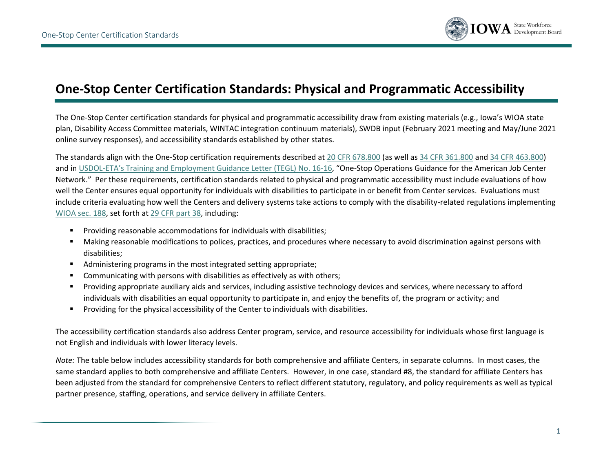

## **One-Stop Center Certification Standards: Physical and Programmatic Accessibility**

The One-Stop Center certification standards for physical and programmatic accessibility draw from existing materials (e.g., Iowa's WIOA state plan, Disability Access Committee materials, WINTAC integration continuum materials), SWDB input (February 2021 meeting and May/June 2021 online survey responses), and accessibility standards established by other states.

The standards align with the One-Stop certification requirements described at [20 CFR 678.800](https://www.ecfr.gov/current/title-20/chapter-V/part-678/subpart-F/section-678.800) (as well as [34 CFR 361.800](https://www.ecfr.gov/current/title-34/subtitle-B/chapter-III/part-361/subpart-F/section-361.800) and 34 [CFR 463.800\)](https://www.ecfr.gov/current/title-34/subtitle-B/chapter-IV/part-463/subpart-J/section-463.800) and in USDOL-[ETA's Training and Employment Guidance Letter](https://wdr.doleta.gov/directives/corr_doc.cfm?DOCN=8772) (TEGL) No. 16-16, "One-Stop Operations Guidance for the American Job Center Network." Per these requirements, certification standards related to physical and programmatic accessibility must include evaluations of how well the Center ensures equal opportunity for individuals with disabilities to participate in or benefit from Center services. Evaluations must include criteria evaluating how well the Centers and delivery systems take actions to comply with the disability-related regulations implementing [WIOA sec. 188,](https://www.dol.gov/agencies/oasam/centers-offices/civil-rights-center/statutes/section-188-workforce-innovation-opportunity-act) set forth a[t 29 CFR part 38,](https://www.ecfr.gov/current/title-29/subtitle-A/part-38) including:

- Providing reasonable accommodations for individuals with disabilities;
- Making reasonable modifications to polices, practices, and procedures where necessary to avoid discrimination against persons with disabilities;
- Administering programs in the most integrated setting appropriate;
- **•** Communicating with persons with disabilities as effectively as with others;
- Providing appropriate auxiliary aids and services, including assistive technology devices and services, where necessary to afford individuals with disabilities an equal opportunity to participate in, and enjoy the benefits of, the program or activity; and
- Providing for the physical accessibility of the Center to individuals with disabilities.

The accessibility certification standards also address Center program, service, and resource accessibility for individuals whose first language is not English and individuals with lower literacy levels.

*Note:* The table below includes accessibility standards for both comprehensive and affiliate Centers, in separate columns. In most cases, the same standard applies to both comprehensive and affiliate Centers. However, in one case, standard #8, the standard for affiliate Centers has been adjusted from the standard for comprehensive Centers to reflect different statutory, regulatory, and policy requirements as well as typical partner presence, staffing, operations, and service delivery in affiliate Centers.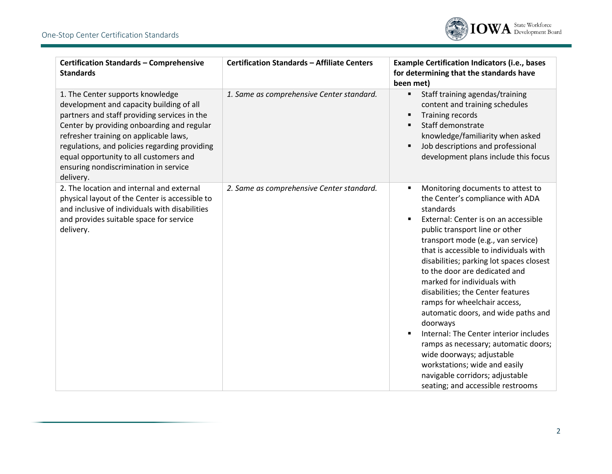

| <b>Certification Standards - Comprehensive</b><br><b>Standards</b>                                                                                                                                                                                                                                                                                                    | <b>Certification Standards - Affiliate Centers</b> | <b>Example Certification Indicators (i.e., bases</b><br>for determining that the standards have<br>been met)                                                                                                                                                                                                                                                                                                                                                                                                                                                                                                                                                                                             |
|-----------------------------------------------------------------------------------------------------------------------------------------------------------------------------------------------------------------------------------------------------------------------------------------------------------------------------------------------------------------------|----------------------------------------------------|----------------------------------------------------------------------------------------------------------------------------------------------------------------------------------------------------------------------------------------------------------------------------------------------------------------------------------------------------------------------------------------------------------------------------------------------------------------------------------------------------------------------------------------------------------------------------------------------------------------------------------------------------------------------------------------------------------|
| 1. The Center supports knowledge<br>development and capacity building of all<br>partners and staff providing services in the<br>Center by providing onboarding and regular<br>refresher training on applicable laws,<br>regulations, and policies regarding providing<br>equal opportunity to all customers and<br>ensuring nondiscrimination in service<br>delivery. | 1. Same as comprehensive Center standard.          | Staff training agendas/training<br>content and training schedules<br><b>Training records</b><br>Staff demonstrate<br>knowledge/familiarity when asked<br>Job descriptions and professional<br>development plans include this focus                                                                                                                                                                                                                                                                                                                                                                                                                                                                       |
| 2. The location and internal and external<br>physical layout of the Center is accessible to<br>and inclusive of individuals with disabilities<br>and provides suitable space for service<br>delivery.                                                                                                                                                                 | 2. Same as comprehensive Center standard.          | Monitoring documents to attest to<br>the Center's compliance with ADA<br>standards<br>External: Center is on an accessible<br>public transport line or other<br>transport mode (e.g., van service)<br>that is accessible to individuals with<br>disabilities; parking lot spaces closest<br>to the door are dedicated and<br>marked for individuals with<br>disabilities; the Center features<br>ramps for wheelchair access,<br>automatic doors, and wide paths and<br>doorways<br>Internal: The Center interior includes<br>ramps as necessary; automatic doors;<br>wide doorways; adjustable<br>workstations; wide and easily<br>navigable corridors; adjustable<br>seating; and accessible restrooms |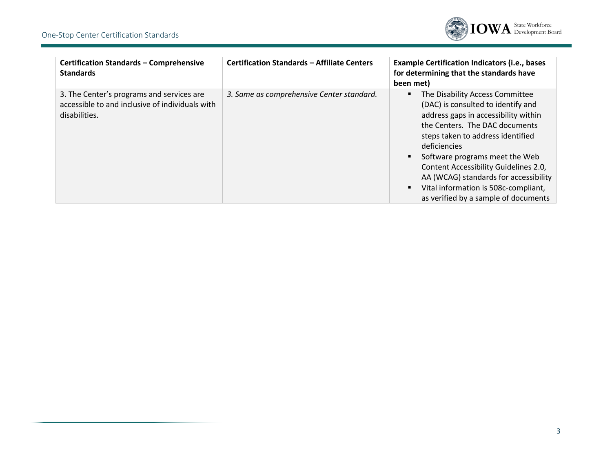

| <b>Certification Standards - Comprehensive</b><br><b>Standards</b>                                            | <b>Certification Standards - Affiliate Centers</b> | <b>Example Certification Indicators (i.e., bases</b><br>for determining that the standards have<br>been met)                                                                                                                                                                                                                                                                                             |
|---------------------------------------------------------------------------------------------------------------|----------------------------------------------------|----------------------------------------------------------------------------------------------------------------------------------------------------------------------------------------------------------------------------------------------------------------------------------------------------------------------------------------------------------------------------------------------------------|
| 3. The Center's programs and services are<br>accessible to and inclusive of individuals with<br>disabilities. | 3. Same as comprehensive Center standard.          | The Disability Access Committee<br>(DAC) is consulted to identify and<br>address gaps in accessibility within<br>the Centers. The DAC documents<br>steps taken to address identified<br>deficiencies<br>Software programs meet the Web<br>Content Accessibility Guidelines 2.0,<br>AA (WCAG) standards for accessibility<br>Vital information is 508c-compliant,<br>as verified by a sample of documents |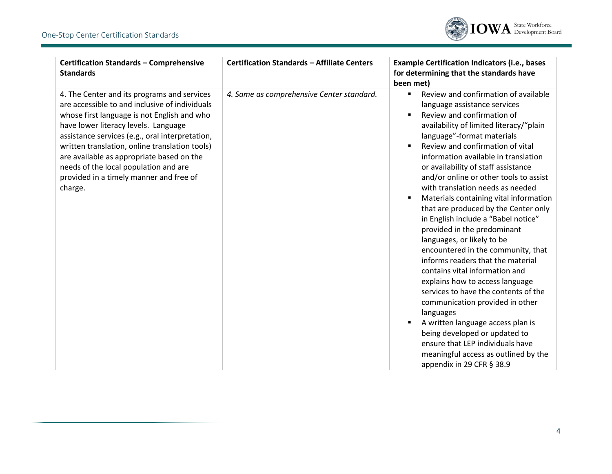

| <b>Certification Standards - Comprehensive</b><br><b>Standards</b>                                                                                                                                                                                                                                                                                                                                                                    | <b>Certification Standards - Affiliate Centers</b> | <b>Example Certification Indicators (i.e., bases</b><br>for determining that the standards have<br>been met)                                                                                                                                                                                                                                                                                                                                                                                                                                                                                                                                                                                                                                                                                                                                                                                                                                                                              |
|---------------------------------------------------------------------------------------------------------------------------------------------------------------------------------------------------------------------------------------------------------------------------------------------------------------------------------------------------------------------------------------------------------------------------------------|----------------------------------------------------|-------------------------------------------------------------------------------------------------------------------------------------------------------------------------------------------------------------------------------------------------------------------------------------------------------------------------------------------------------------------------------------------------------------------------------------------------------------------------------------------------------------------------------------------------------------------------------------------------------------------------------------------------------------------------------------------------------------------------------------------------------------------------------------------------------------------------------------------------------------------------------------------------------------------------------------------------------------------------------------------|
| 4. The Center and its programs and services<br>are accessible to and inclusive of individuals<br>whose first language is not English and who<br>have lower literacy levels. Language<br>assistance services (e.g., oral interpretation,<br>written translation, online translation tools)<br>are available as appropriate based on the<br>needs of the local population and are<br>provided in a timely manner and free of<br>charge. | 4. Same as comprehensive Center standard.          | Review and confirmation of available<br>language assistance services<br>Review and confirmation of<br>availability of limited literacy/"plain<br>language"-format materials<br>Review and confirmation of vital<br>information available in translation<br>or availability of staff assistance<br>and/or online or other tools to assist<br>with translation needs as needed<br>Materials containing vital information<br>that are produced by the Center only<br>in English include a "Babel notice"<br>provided in the predominant<br>languages, or likely to be<br>encountered in the community, that<br>informs readers that the material<br>contains vital information and<br>explains how to access language<br>services to have the contents of the<br>communication provided in other<br>languages<br>A written language access plan is<br>being developed or updated to<br>ensure that LEP individuals have<br>meaningful access as outlined by the<br>appendix in 29 CFR § 38.9 |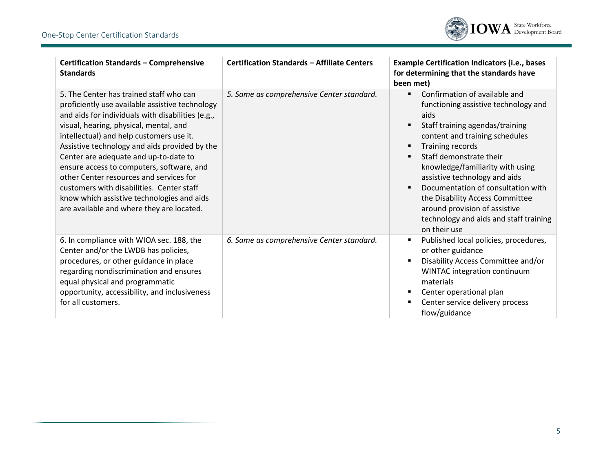

| <b>Certification Standards - Comprehensive</b><br><b>Standards</b>                                                                                                                                                                                                                                                                                                                                                                                                                                                                                              | <b>Certification Standards - Affiliate Centers</b> | <b>Example Certification Indicators (i.e., bases</b><br>for determining that the standards have<br>been met)                                                                                                                                                                                                                                                                                                                                                                        |
|-----------------------------------------------------------------------------------------------------------------------------------------------------------------------------------------------------------------------------------------------------------------------------------------------------------------------------------------------------------------------------------------------------------------------------------------------------------------------------------------------------------------------------------------------------------------|----------------------------------------------------|-------------------------------------------------------------------------------------------------------------------------------------------------------------------------------------------------------------------------------------------------------------------------------------------------------------------------------------------------------------------------------------------------------------------------------------------------------------------------------------|
| 5. The Center has trained staff who can<br>proficiently use available assistive technology<br>and aids for individuals with disabilities (e.g.,<br>visual, hearing, physical, mental, and<br>intellectual) and help customers use it.<br>Assistive technology and aids provided by the<br>Center are adequate and up-to-date to<br>ensure access to computers, software, and<br>other Center resources and services for<br>customers with disabilities. Center staff<br>know which assistive technologies and aids<br>are available and where they are located. | 5. Same as comprehensive Center standard.          | Confirmation of available and<br>functioning assistive technology and<br>aids<br>Staff training agendas/training<br>content and training schedules<br>Training records<br>٠<br>Staff demonstrate their<br>$\blacksquare$<br>knowledge/familiarity with using<br>assistive technology and aids<br>Documentation of consultation with<br>$\blacksquare$<br>the Disability Access Committee<br>around provision of assistive<br>technology and aids and staff training<br>on their use |
| 6. In compliance with WIOA sec. 188, the<br>Center and/or the LWDB has policies,<br>procedures, or other guidance in place<br>regarding nondiscrimination and ensures<br>equal physical and programmatic<br>opportunity, accessibility, and inclusiveness<br>for all customers.                                                                                                                                                                                                                                                                                 | 6. Same as comprehensive Center standard.          | Published local policies, procedures,<br>or other guidance<br>Disability Access Committee and/or<br>WINTAC integration continuum<br>materials<br>Center operational plan<br>٠<br>Center service delivery process<br>flow/guidance                                                                                                                                                                                                                                                   |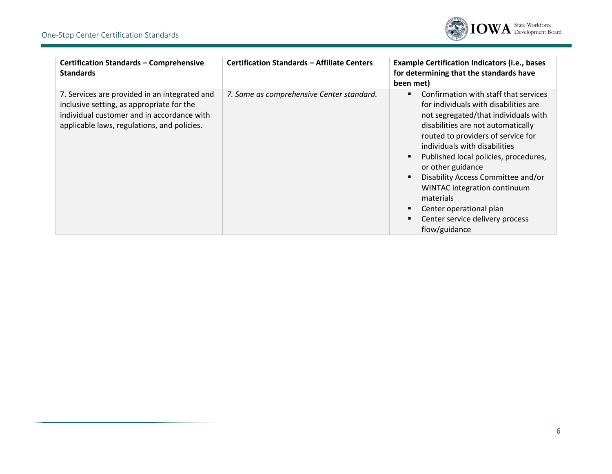

| <b>Certification Standards - Comprehensive</b><br><b>Standards</b>                                                                                                                      | <b>Certification Standards - Affiliate Centers</b> | <b>Example Certification Indicators (i.e., bases</b><br>for determining that the standards have<br>been met)                                                                                                                                                                                                                                                                                                                                                        |
|-----------------------------------------------------------------------------------------------------------------------------------------------------------------------------------------|----------------------------------------------------|---------------------------------------------------------------------------------------------------------------------------------------------------------------------------------------------------------------------------------------------------------------------------------------------------------------------------------------------------------------------------------------------------------------------------------------------------------------------|
| 7. Services are provided in an integrated and<br>inclusive setting, as appropriate for the<br>individual customer and in accordance with<br>applicable laws, regulations, and policies. | 7. Same as comprehensive Center standard.          | Confirmation with staff that services<br>for individuals with disabilities are<br>not segregated/that individuals with<br>disabilities are not automatically<br>routed to providers of service for<br>individuals with disabilities<br>Published local policies, procedures,<br>or other guidance<br>Disability Access Committee and/or<br>WINTAC integration continuum<br>materials<br>Center operational plan<br>Center service delivery process<br>flow/guidance |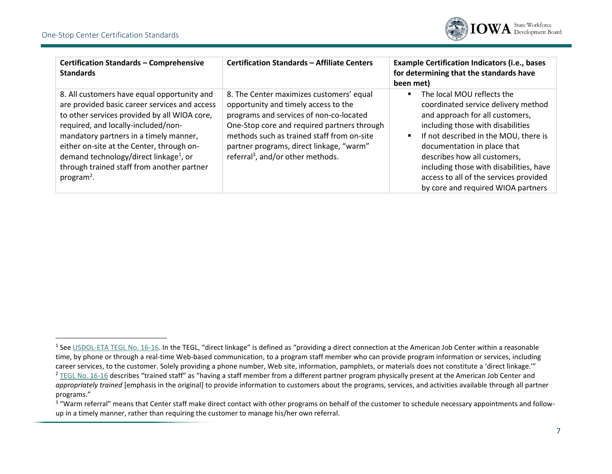

| <b>Certification Standards - Comprehensive</b><br><b>Standards</b>                                                                                                                                                                                                                                                                                                                                       | <b>Certification Standards - Affiliate Centers</b>                                                                                                                                                                                                                                                                    | <b>Example Certification Indicators (i.e., bases</b><br>for determining that the standards have<br>been met)                                                                                                                                                                                                                                                                 |
|----------------------------------------------------------------------------------------------------------------------------------------------------------------------------------------------------------------------------------------------------------------------------------------------------------------------------------------------------------------------------------------------------------|-----------------------------------------------------------------------------------------------------------------------------------------------------------------------------------------------------------------------------------------------------------------------------------------------------------------------|------------------------------------------------------------------------------------------------------------------------------------------------------------------------------------------------------------------------------------------------------------------------------------------------------------------------------------------------------------------------------|
| 8. All customers have equal opportunity and<br>are provided basic career services and access<br>to other services provided by all WIOA core,<br>required, and locally-included/non-<br>mandatory partners in a timely manner,<br>either on-site at the Center, through on-<br>demand technology/direct linkage <sup>1</sup> , or<br>through trained staff from another partner<br>program <sup>2</sup> . | 8. The Center maximizes customers' equal<br>opportunity and timely access to the<br>programs and services of non-co-located<br>One-Stop core and required partners through<br>methods such as trained staff from on-site<br>partner programs, direct linkage, "warm"<br>referral <sup>3</sup> , and/or other methods. | The local MOU reflects the<br>coordinated service delivery method<br>and approach for all customers,<br>including those with disabilities<br>If not described in the MOU, there is<br>documentation in place that<br>describes how all customers,<br>including those with disabilities, have<br>access to all of the services provided<br>by core and required WIOA partners |

<sup>&</sup>lt;sup>1</sup> See [USDOL-ETA TEGL No. 16-16.](https://wdr.doleta.gov/directives/corr_doc.cfm?DOCN=8772) In the TEGL, "direct linkage" is defined as "providing a direct connection at the American Job Center within a reasonable time, by phone or through a real-time Web-based communication, to a program staff member who can provide program information or services, including career services, to the customer. Solely providing a phone number, Web site, information, pamphlets, or materials does not constitute a 'direct linkage.'" <sup>2</sup> [TEGL No. 16-16](https://wdr.doleta.gov/directives/corr_doc.cfm?DOCN=8772) describes "trained staff" as "having a staff member from a different partner program physically present at the American Job Center and *appropriately trained* [emphasis in the original] to provide information to customers about the programs, services, and activities available through all partner programs."

<sup>&</sup>lt;sup>3</sup> "Warm referral" means that Center staff make direct contact with other programs on behalf of the customer to schedule necessary appointments and followup in a timely manner, rather than requiring the customer to manage his/her own referral.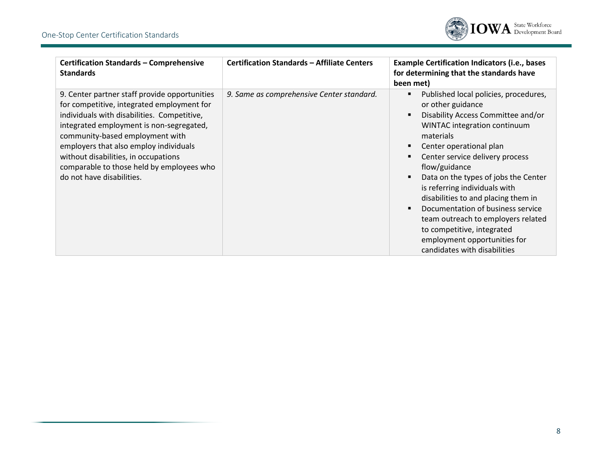

| <b>Certification Standards - Comprehensive</b><br><b>Standards</b>                                                                                                                                                                                                                                                                                                                    | <b>Certification Standards - Affiliate Centers</b> | <b>Example Certification Indicators (i.e., bases</b><br>for determining that the standards have<br>been met)                                                                                                                                                                                                                                                                                                                                                                                                          |
|---------------------------------------------------------------------------------------------------------------------------------------------------------------------------------------------------------------------------------------------------------------------------------------------------------------------------------------------------------------------------------------|----------------------------------------------------|-----------------------------------------------------------------------------------------------------------------------------------------------------------------------------------------------------------------------------------------------------------------------------------------------------------------------------------------------------------------------------------------------------------------------------------------------------------------------------------------------------------------------|
| 9. Center partner staff provide opportunities<br>for competitive, integrated employment for<br>individuals with disabilities. Competitive,<br>integrated employment is non-segregated,<br>community-based employment with<br>employers that also employ individuals<br>without disabilities, in occupations<br>comparable to those held by employees who<br>do not have disabilities. | 9. Same as comprehensive Center standard.          | Published local policies, procedures,<br>or other guidance<br>Disability Access Committee and/or<br>WINTAC integration continuum<br>materials<br>Center operational plan<br>Center service delivery process<br>flow/guidance<br>Data on the types of jobs the Center<br>is referring individuals with<br>disabilities to and placing them in<br>Documentation of business service<br>team outreach to employers related<br>to competitive, integrated<br>employment opportunities for<br>candidates with disabilities |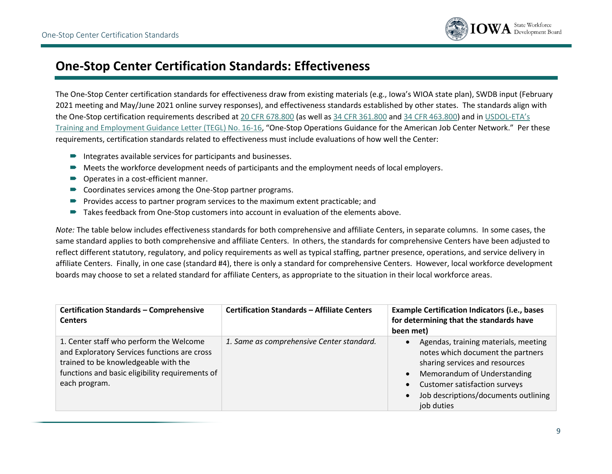

## **One-Stop Center Certification Standards: Effectiveness**

The One-Stop Center certification standards for effectiveness draw from existing materials (e.g., Iowa's WIOA state plan), SWDB input (February 2021 meeting and May/June 2021 online survey responses), and effectiveness standards established by other states. The standards align with the One-Stop certification requirements described at [20 CFR 678.800](https://www.ecfr.gov/current/title-20/chapter-V/part-678/subpart-F/section-678.800) (as well as [34 CFR 361.800](https://www.ecfr.gov/current/title-34/subtitle-B/chapter-III/part-361/subpart-F/section-361.800) an[d 34 CFR 463.800\)](https://www.ecfr.gov/current/title-34/subtitle-B/chapter-IV/part-463/subpart-J/section-463.800) and i[n USDOL-](https://wdr.doleta.gov/directives/corr_doc.cfm?DOCN=8772)ETA's [Training and Employment Guidance Letter \(TEGL\) No. 16-16](https://wdr.doleta.gov/directives/corr_doc.cfm?DOCN=8772), "One-Stop Operations Guidance for the American Job Center Network." Per these requirements, certification standards related to effectiveness must include evaluations of how well the Center:

- $\blacksquare$  Integrates available services for participants and businesses.
- Meets the workforce development needs of participants and the employment needs of local employers.
- **■** Operates in a cost-efficient manner.
- Coordinates services among the One-Stop partner programs.
- **Provides access to partner program services to the maximum extent practicable; and**
- Takes feedback from One-Stop customers into account in evaluation of the elements above.

*Note:* The table below includes effectiveness standards for both comprehensive and affiliate Centers, in separate columns. In some cases, the same standard applies to both comprehensive and affiliate Centers. In others, the standards for comprehensive Centers have been adjusted to reflect different statutory, regulatory, and policy requirements as well as typical staffing, partner presence, operations, and service delivery in affiliate Centers. Finally, in one case (standard #4), there is only a standard for comprehensive Centers. However, local workforce development boards may choose to set a related standard for affiliate Centers, as appropriate to the situation in their local workforce areas.

| <b>Certification Standards - Comprehensive</b><br><b>Centers</b>                                                                                                                                    | <b>Certification Standards - Affiliate Centers</b> | <b>Example Certification Indicators (i.e., bases</b><br>for determining that the standards have<br>been met)                                                                                                                                                                                 |
|-----------------------------------------------------------------------------------------------------------------------------------------------------------------------------------------------------|----------------------------------------------------|----------------------------------------------------------------------------------------------------------------------------------------------------------------------------------------------------------------------------------------------------------------------------------------------|
| 1. Center staff who perform the Welcome<br>and Exploratory Services functions are cross<br>trained to be knowledgeable with the<br>functions and basic eligibility requirements of<br>each program. | 1. Same as comprehensive Center standard.          | Agendas, training materials, meeting<br>$\bullet$<br>notes which document the partners<br>sharing services and resources<br>Memorandum of Understanding<br>$\bullet$<br><b>Customer satisfaction surveys</b><br>$\bullet$<br>Job descriptions/documents outlining<br>$\bullet$<br>job duties |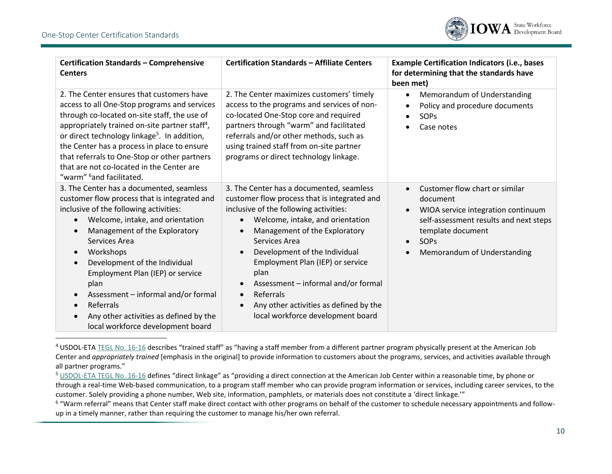

| <b>Certification Standards - Comprehensive</b><br><b>Centers</b>                                                                                                                                                                                                                                                                                                                                                                                                                             | <b>Certification Standards - Affiliate Centers</b>                                                                                                                                                                                                                                                                                                                                                                                                                                                                     | <b>Example Certification Indicators (i.e., bases</b><br>for determining that the standards have<br>been met)                                                                                                                                           |
|----------------------------------------------------------------------------------------------------------------------------------------------------------------------------------------------------------------------------------------------------------------------------------------------------------------------------------------------------------------------------------------------------------------------------------------------------------------------------------------------|------------------------------------------------------------------------------------------------------------------------------------------------------------------------------------------------------------------------------------------------------------------------------------------------------------------------------------------------------------------------------------------------------------------------------------------------------------------------------------------------------------------------|--------------------------------------------------------------------------------------------------------------------------------------------------------------------------------------------------------------------------------------------------------|
| 2. The Center ensures that customers have<br>access to all One-Stop programs and services<br>through co-located on-site staff, the use of<br>appropriately trained on-site partner staff <sup>4</sup> ,<br>or direct technology linkage <sup>5</sup> . In addition,<br>the Center has a process in place to ensure<br>that referrals to One-Stop or other partners<br>that are not co-located in the Center are<br>"warm" <sup>6</sup> and facilitated.                                      | 2. The Center maximizes customers' timely<br>access to the programs and services of non-<br>co-located One-Stop core and required<br>partners through "warm" and facilitated<br>referrals and/or other methods, such as<br>using trained staff from on-site partner<br>programs or direct technology linkage.                                                                                                                                                                                                          | Memorandum of Understanding<br>$\bullet$<br>Policy and procedure documents<br>$\bullet$<br><b>SOPs</b><br>$\bullet$<br>Case notes                                                                                                                      |
| 3. The Center has a documented, seamless<br>customer flow process that is integrated and<br>inclusive of the following activities:<br>Welcome, intake, and orientation<br>$\bullet$<br>Management of the Exploratory<br>Services Area<br>Workshops<br>$\bullet$<br>Development of the Individual<br>$\bullet$<br>Employment Plan (IEP) or service<br>plan<br>Assessment - informal and/or formal<br>Referrals<br>Any other activities as defined by the<br>local workforce development board | 3. The Center has a documented, seamless<br>customer flow process that is integrated and<br>inclusive of the following activities:<br>Welcome, intake, and orientation<br>$\bullet$<br>Management of the Exploratory<br>$\bullet$<br>Services Area<br>Development of the Individual<br>$\bullet$<br>Employment Plan (IEP) or service<br>plan<br>Assessment - informal and/or formal<br>$\bullet$<br>Referrals<br>$\bullet$<br>Any other activities as defined by the<br>$\bullet$<br>local workforce development board | Customer flow chart or similar<br>$\bullet$<br>document<br>WIOA service integration continuum<br>$\bullet$<br>self-assessment results and next steps<br>template document<br>SOP <sub>S</sub><br>$\bullet$<br>Memorandum of Understanding<br>$\bullet$ |

<sup>&</sup>lt;sup>4</sup> USDOL-ETA [TEGL No. 16-16](https://wdr.doleta.gov/directives/corr_doc.cfm?DOCN=8772) describes "trained staff" as "having a staff member from a different partner program physically present at the American Job Center and *appropriately trained* [emphasis in the original] to provide information to customers about the programs, services, and activities available through all partner programs."

 $6\,$  "Warm referral" means that Center staff make direct contact with other programs on behalf of the customer to schedule necessary appointments and followup in a timely manner, rather than requiring the customer to manage his/her own referral.

<sup>5</sup> [USDOL-ETA TEGL](https://wdr.doleta.gov/directives/corr_doc.cfm?DOCN=8772) No. 16-16 defines "direct linkage" as "providing a direct connection at the American Job Center within a reasonable time, by phone or through a real-time Web-based communication, to a program staff member who can provide program information or services, including career services, to the customer. Solely providing a phone number, Web site, information, pamphlets, or materials does not constitute a 'direct linkage.'"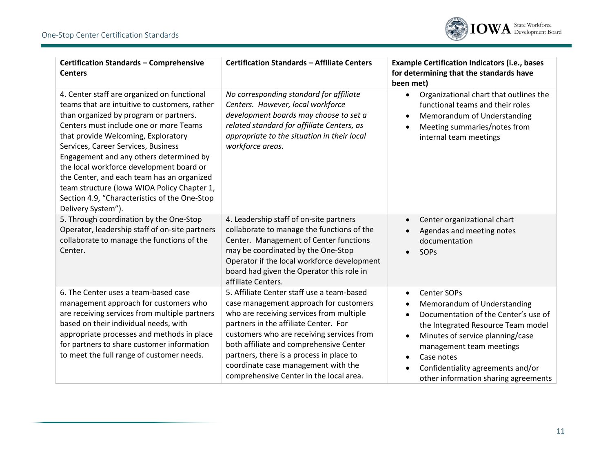

| <b>Certification Standards - Comprehensive</b><br><b>Centers</b>                                                                                                                                                                                                                                                                                                                                                                                                                                                          | <b>Certification Standards - Affiliate Centers</b>                                                                                                                                                                                                                                                                                                                                              | <b>Example Certification Indicators (i.e., bases</b><br>for determining that the standards have<br>been met)                                                                                                                                                                                                                                              |
|---------------------------------------------------------------------------------------------------------------------------------------------------------------------------------------------------------------------------------------------------------------------------------------------------------------------------------------------------------------------------------------------------------------------------------------------------------------------------------------------------------------------------|-------------------------------------------------------------------------------------------------------------------------------------------------------------------------------------------------------------------------------------------------------------------------------------------------------------------------------------------------------------------------------------------------|-----------------------------------------------------------------------------------------------------------------------------------------------------------------------------------------------------------------------------------------------------------------------------------------------------------------------------------------------------------|
| 4. Center staff are organized on functional<br>teams that are intuitive to customers, rather<br>than organized by program or partners.<br>Centers must include one or more Teams<br>that provide Welcoming, Exploratory<br>Services, Career Services, Business<br>Engagement and any others determined by<br>the local workforce development board or<br>the Center, and each team has an organized<br>team structure (Iowa WIOA Policy Chapter 1,<br>Section 4.9, "Characteristics of the One-Stop<br>Delivery System"). | No corresponding standard for affiliate<br>Centers. However, local workforce<br>development boards may choose to set a<br>related standard for affiliate Centers, as<br>appropriate to the situation in their local<br>workforce areas.                                                                                                                                                         | Organizational chart that outlines the<br>$\bullet$<br>functional teams and their roles<br>Memorandum of Understanding<br>$\bullet$<br>Meeting summaries/notes from<br>$\bullet$<br>internal team meetings                                                                                                                                                |
| 5. Through coordination by the One-Stop<br>Operator, leadership staff of on-site partners<br>collaborate to manage the functions of the<br>Center.                                                                                                                                                                                                                                                                                                                                                                        | 4. Leadership staff of on-site partners<br>collaborate to manage the functions of the<br>Center. Management of Center functions<br>may be coordinated by the One-Stop<br>Operator if the local workforce development<br>board had given the Operator this role in<br>affiliate Centers.                                                                                                         | Center organizational chart<br>$\bullet$<br>Agendas and meeting notes<br>documentation<br>SOPs                                                                                                                                                                                                                                                            |
| 6. The Center uses a team-based case<br>management approach for customers who<br>are receiving services from multiple partners<br>based on their individual needs, with<br>appropriate processes and methods in place<br>for partners to share customer information<br>to meet the full range of customer needs.                                                                                                                                                                                                          | 5. Affiliate Center staff use a team-based<br>case management approach for customers<br>who are receiving services from multiple<br>partners in the affiliate Center. For<br>customers who are receiving services from<br>both affiliate and comprehensive Center<br>partners, there is a process in place to<br>coordinate case management with the<br>comprehensive Center in the local area. | Center SOPs<br>$\bullet$<br>Memorandum of Understanding<br>$\bullet$<br>Documentation of the Center's use of<br>$\bullet$<br>the Integrated Resource Team model<br>Minutes of service planning/case<br>٠<br>management team meetings<br>Case notes<br>$\bullet$<br>Confidentiality agreements and/or<br>$\bullet$<br>other information sharing agreements |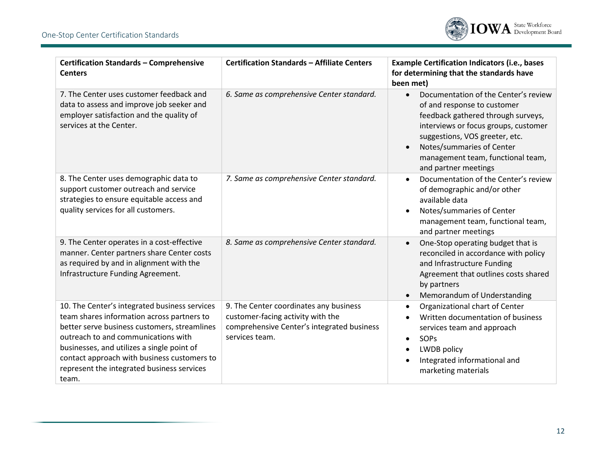

| <b>Certification Standards - Comprehensive</b><br><b>Centers</b>                                                                                                                                                                                                                                                                       | <b>Certification Standards - Affiliate Centers</b>                                                                                          | <b>Example Certification Indicators (i.e., bases</b><br>for determining that the standards have<br>been met)                                                                                                                                                                               |
|----------------------------------------------------------------------------------------------------------------------------------------------------------------------------------------------------------------------------------------------------------------------------------------------------------------------------------------|---------------------------------------------------------------------------------------------------------------------------------------------|--------------------------------------------------------------------------------------------------------------------------------------------------------------------------------------------------------------------------------------------------------------------------------------------|
| 7. The Center uses customer feedback and<br>data to assess and improve job seeker and<br>employer satisfaction and the quality of<br>services at the Center.                                                                                                                                                                           | 6. Same as comprehensive Center standard.                                                                                                   | Documentation of the Center's review<br>$\bullet$<br>of and response to customer<br>feedback gathered through surveys,<br>interviews or focus groups, customer<br>suggestions, VOS greeter, etc.<br>Notes/summaries of Center<br>management team, functional team,<br>and partner meetings |
| 8. The Center uses demographic data to<br>support customer outreach and service<br>strategies to ensure equitable access and<br>quality services for all customers.                                                                                                                                                                    | 7. Same as comprehensive Center standard.                                                                                                   | Documentation of the Center's review<br>$\bullet$<br>of demographic and/or other<br>available data<br>Notes/summaries of Center<br>$\bullet$<br>management team, functional team,<br>and partner meetings                                                                                  |
| 9. The Center operates in a cost-effective<br>manner. Center partners share Center costs<br>as required by and in alignment with the<br>Infrastructure Funding Agreement.                                                                                                                                                              | 8. Same as comprehensive Center standard.                                                                                                   | One-Stop operating budget that is<br>$\bullet$<br>reconciled in accordance with policy<br>and Infrastructure Funding<br>Agreement that outlines costs shared<br>by partners<br>Memorandum of Understanding<br>$\bullet$                                                                    |
| 10. The Center's integrated business services<br>team shares information across partners to<br>better serve business customers, streamlines<br>outreach to and communications with<br>businesses, and utilizes a single point of<br>contact approach with business customers to<br>represent the integrated business services<br>team. | 9. The Center coordinates any business<br>customer-facing activity with the<br>comprehensive Center's integrated business<br>services team. | Organizational chart of Center<br>$\bullet$<br>Written documentation of business<br>$\bullet$<br>services team and approach<br>SOPs<br>$\bullet$<br>LWDB policy<br>$\bullet$<br>Integrated informational and<br>$\bullet$<br>marketing materials                                           |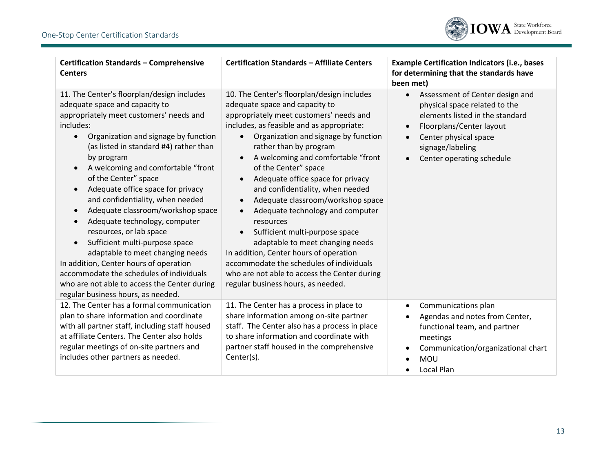

| <b>Certification Standards - Comprehensive</b><br><b>Centers</b>                                                                                                                                                                                                                                                                                                                                                                                                                                                                                                                                                                                                                                                               | <b>Certification Standards - Affiliate Centers</b>                                                                                                                                                                                                                                                                                                                                                                                                                                                                                                                                                                                                                                                                                                           | <b>Example Certification Indicators (i.e., bases</b><br>for determining that the standards have<br>been met)                                                                                                                                     |
|--------------------------------------------------------------------------------------------------------------------------------------------------------------------------------------------------------------------------------------------------------------------------------------------------------------------------------------------------------------------------------------------------------------------------------------------------------------------------------------------------------------------------------------------------------------------------------------------------------------------------------------------------------------------------------------------------------------------------------|--------------------------------------------------------------------------------------------------------------------------------------------------------------------------------------------------------------------------------------------------------------------------------------------------------------------------------------------------------------------------------------------------------------------------------------------------------------------------------------------------------------------------------------------------------------------------------------------------------------------------------------------------------------------------------------------------------------------------------------------------------------|--------------------------------------------------------------------------------------------------------------------------------------------------------------------------------------------------------------------------------------------------|
| 11. The Center's floorplan/design includes<br>adequate space and capacity to<br>appropriately meet customers' needs and<br>includes:<br>Organization and signage by function<br>(as listed in standard #4) rather than<br>by program<br>A welcoming and comfortable "front<br>of the Center" space<br>Adequate office space for privacy<br>and confidentiality, when needed<br>Adequate classroom/workshop space<br>Adequate technology, computer<br>resources, or lab space<br>Sufficient multi-purpose space<br>adaptable to meet changing needs<br>In addition, Center hours of operation<br>accommodate the schedules of individuals<br>who are not able to access the Center during<br>regular business hours, as needed. | 10. The Center's floorplan/design includes<br>adequate space and capacity to<br>appropriately meet customers' needs and<br>includes, as feasible and as appropriate:<br>Organization and signage by function<br>rather than by program<br>A welcoming and comfortable "front<br>of the Center" space<br>Adequate office space for privacy<br>and confidentiality, when needed<br>Adequate classroom/workshop space<br>$\bullet$<br>Adequate technology and computer<br>$\bullet$<br>resources<br>Sufficient multi-purpose space<br>$\bullet$<br>adaptable to meet changing needs<br>In addition, Center hours of operation<br>accommodate the schedules of individuals<br>who are not able to access the Center during<br>regular business hours, as needed. | Assessment of Center design and<br>$\bullet$<br>physical space related to the<br>elements listed in the standard<br>Floorplans/Center layout<br>$\bullet$<br>Center physical space<br>$\bullet$<br>signage/labeling<br>Center operating schedule |
| 12. The Center has a formal communication<br>plan to share information and coordinate<br>with all partner staff, including staff housed<br>at affiliate Centers. The Center also holds<br>regular meetings of on-site partners and<br>includes other partners as needed.                                                                                                                                                                                                                                                                                                                                                                                                                                                       | 11. The Center has a process in place to<br>share information among on-site partner<br>staff. The Center also has a process in place<br>to share information and coordinate with<br>partner staff housed in the comprehensive<br>Center(s).                                                                                                                                                                                                                                                                                                                                                                                                                                                                                                                  | Communications plan<br>$\bullet$<br>Agendas and notes from Center,<br>$\bullet$<br>functional team, and partner<br>meetings<br>Communication/organizational chart<br>$\bullet$<br><b>MOU</b><br>Local Plan<br>$\bullet$                          |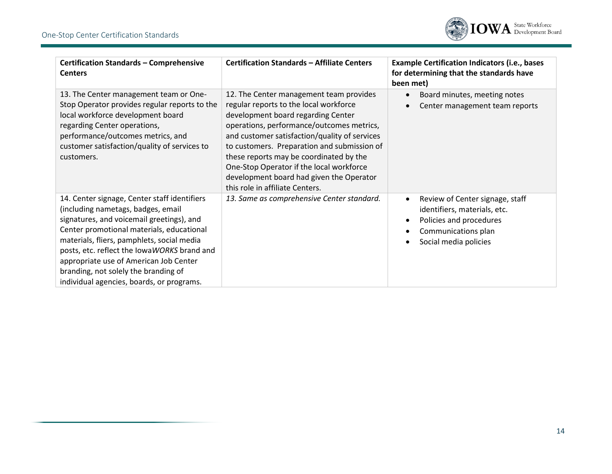

| <b>Certification Standards - Comprehensive</b><br><b>Centers</b>                                                                                                                                                                                                                                                                                                                                         | <b>Certification Standards - Affiliate Centers</b>                                                                                                                                                                                                                                                                                                                                                                                         | <b>Example Certification Indicators (i.e., bases</b><br>for determining that the standards have<br>been met)                               |
|----------------------------------------------------------------------------------------------------------------------------------------------------------------------------------------------------------------------------------------------------------------------------------------------------------------------------------------------------------------------------------------------------------|--------------------------------------------------------------------------------------------------------------------------------------------------------------------------------------------------------------------------------------------------------------------------------------------------------------------------------------------------------------------------------------------------------------------------------------------|--------------------------------------------------------------------------------------------------------------------------------------------|
| 13. The Center management team or One-<br>Stop Operator provides regular reports to the<br>local workforce development board<br>regarding Center operations,<br>performance/outcomes metrics, and<br>customer satisfaction/quality of services to<br>customers.                                                                                                                                          | 12. The Center management team provides<br>regular reports to the local workforce<br>development board regarding Center<br>operations, performance/outcomes metrics,<br>and customer satisfaction/quality of services<br>to customers. Preparation and submission of<br>these reports may be coordinated by the<br>One-Stop Operator if the local workforce<br>development board had given the Operator<br>this role in affiliate Centers. | Board minutes, meeting notes<br>Center management team reports                                                                             |
| 14. Center signage, Center staff identifiers<br>(including nametags, badges, email<br>signatures, and voicemail greetings), and<br>Center promotional materials, educational<br>materials, fliers, pamphlets, social media<br>posts, etc. reflect the lowaWORKS brand and<br>appropriate use of American Job Center<br>branding, not solely the branding of<br>individual agencies, boards, or programs. | 13. Same as comprehensive Center standard.                                                                                                                                                                                                                                                                                                                                                                                                 | Review of Center signage, staff<br>identifiers, materials, etc.<br>Policies and procedures<br>Communications plan<br>Social media policies |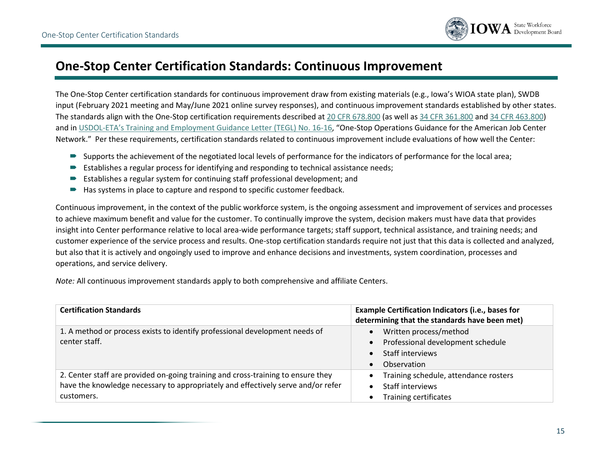

## **One-Stop Center Certification Standards: Continuous Improvement**

The One-Stop Center certification standards for continuous improvement draw from existing materials (e.g., Iowa's WIOA state plan), SWDB input (February 2021 meeting and May/June 2021 online survey responses), and continuous improvement standards established by other states. The standards align with the One-Stop certification requirements described at [20 CFR 678.800](https://www.ecfr.gov/current/title-20/chapter-V/part-678/subpart-F/section-678.800) (as well as [34 CFR 361.800](https://www.ecfr.gov/current/title-34/subtitle-B/chapter-III/part-361/subpart-F/section-361.800) and [34 CFR 463.800\)](https://www.ecfr.gov/current/title-34/subtitle-B/chapter-IV/part-463/subpart-J/section-463.800) and in USDOL-[ETA's Training and Employment Guidance Letter](https://wdr.doleta.gov/directives/corr_doc.cfm?DOCN=8772) (TEGL) No. 16-16, "One-Stop Operations Guidance for the American Job Center Network." Per these requirements, certification standards related to continuous improvement include evaluations of how well the Center:

- Supports the achievement of the negotiated local levels of performance for the indicators of performance for the local area;
- Establishes a regular process for identifying and responding to technical assistance needs;
- Establishes a regular system for continuing staff professional development; and
- $\blacktriangleright$  Has systems in place to capture and respond to specific customer feedback.

Continuous improvement, in the context of the public workforce system, is the ongoing assessment and improvement of services and processes to achieve maximum benefit and value for the customer. To continually improve the system, decision makers must have data that provides insight into Center performance relative to local area-wide performance targets; staff support, technical assistance, and training needs; and customer experience of the service process and results. One-stop certification standards require not just that this data is collected and analyzed, but also that it is actively and ongoingly used to improve and enhance decisions and investments, system coordination, processes and operations, and service delivery.

*Note:* All continuous improvement standards apply to both comprehensive and affiliate Centers.

| <b>Certification Standards</b>                                                                                                                                                     | <b>Example Certification Indicators (i.e., bases for</b><br>determining that the standards have been met)                                                 |
|------------------------------------------------------------------------------------------------------------------------------------------------------------------------------------|-----------------------------------------------------------------------------------------------------------------------------------------------------------|
| 1. A method or process exists to identify professional development needs of<br>center staff.                                                                                       | Written process/method<br>$\bullet$<br>Professional development schedule<br>$\bullet$<br><b>Staff interviews</b><br>$\bullet$<br>Observation<br>$\bullet$ |
| 2. Center staff are provided on-going training and cross-training to ensure they<br>have the knowledge necessary to appropriately and effectively serve and/or refer<br>customers. | Training schedule, attendance rosters<br>$\bullet$<br><b>Staff interviews</b><br>$\bullet$<br><b>Training certificates</b><br>$\bullet$                   |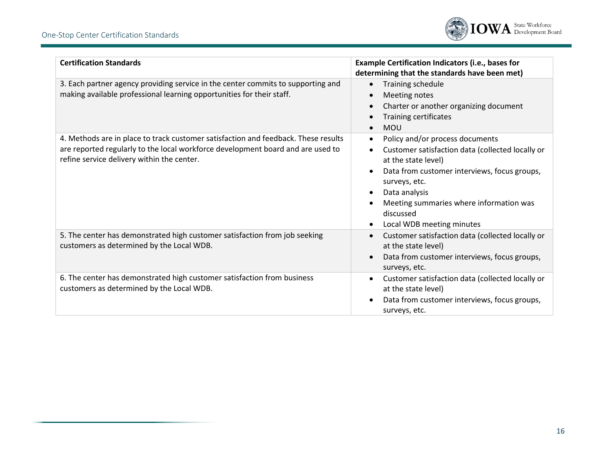

| <b>Certification Standards</b>                                                                                                                                                                                      | Example Certification Indicators (i.e., bases for<br>determining that the standards have been met)                                                                                                                                                                                                                                    |
|---------------------------------------------------------------------------------------------------------------------------------------------------------------------------------------------------------------------|---------------------------------------------------------------------------------------------------------------------------------------------------------------------------------------------------------------------------------------------------------------------------------------------------------------------------------------|
| 3. Each partner agency providing service in the center commits to supporting and<br>making available professional learning opportunities for their staff.                                                           | Training schedule<br>$\bullet$<br>Meeting notes<br>$\bullet$<br>Charter or another organizing document<br>$\bullet$<br>Training certificates<br><b>MOU</b>                                                                                                                                                                            |
| 4. Methods are in place to track customer satisfaction and feedback. These results<br>are reported regularly to the local workforce development board and are used to<br>refine service delivery within the center. | Policy and/or process documents<br>$\bullet$<br>Customer satisfaction data (collected locally or<br>$\bullet$<br>at the state level)<br>Data from customer interviews, focus groups,<br>surveys, etc.<br>Data analysis<br>$\bullet$<br>Meeting summaries where information was<br>discussed<br>Local WDB meeting minutes<br>$\bullet$ |
| 5. The center has demonstrated high customer satisfaction from job seeking<br>customers as determined by the Local WDB.                                                                                             | Customer satisfaction data (collected locally or<br>$\bullet$<br>at the state level)<br>Data from customer interviews, focus groups,<br>$\bullet$<br>surveys, etc.                                                                                                                                                                    |
| 6. The center has demonstrated high customer satisfaction from business<br>customers as determined by the Local WDB.                                                                                                | Customer satisfaction data (collected locally or<br>$\bullet$<br>at the state level)<br>Data from customer interviews, focus groups,<br>$\bullet$<br>surveys, etc.                                                                                                                                                                    |